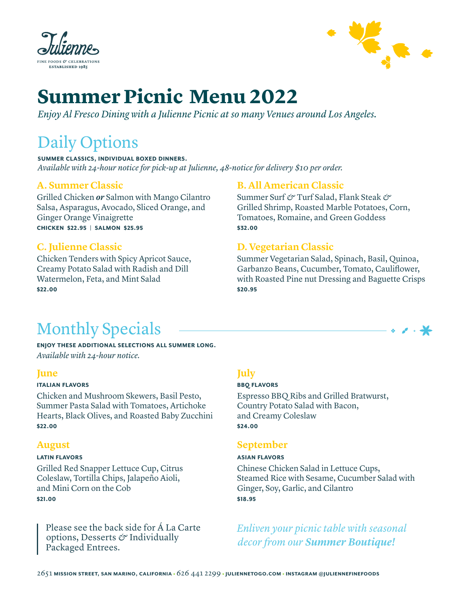



# **Summer Picnic Menu 2022**

*Enjoy Al Fresco Dining with a Julienne Picnic at so many Venues around Los Angeles.*

# Daily Options

**SUMMER CLASSICS, INDIVIDUAL BOXED DINNERS.** *Available with 24-hour notice for pick-up at Julienne, 48-notice for delivery \$10 per order.* 

### **A. Summer Classic**

Grilled Chicken *or* Salmon with Mango Cilantro Salsa, Asparagus, Avocado, Sliced Orange, and Ginger Orange Vinaigrette  **\$22.95 | \$25.95**

# **C. Julienne Classic**

Chicken Tenders with Spicy Apricot Sauce, Creamy Potato Salad with Radish and Dill Watermelon, Feta, and Mint Salad **\$22.00**

# **B. All American Classic**

Summer Surf *&* Turf Salad, Flank Steak *&* Grilled Shrimp, Roasted Marble Potatoes, Corn, Tomatoes, Romaine, and Green Goddess **\$32.00**

# **D. Vegetarian Classic**

Summer Vegetarian Salad, Spinach, Basil, Quinoa, Garbanzo Beans, Cucumber, Tomato, Cauliflower, with Roasted Pine nut Dressing and Baguette Crisps **\$20.95**

# Monthly Specials

**ENJOY THESE ADDITIONAL SELECTIONS ALL SUMMER LONG.** *Available with 24-hour notice.*

### **June**

#### **ITALIAN FLAVORS**

Chicken and Mushroom Skewers, Basil Pesto, Summer Pasta Salad with Tomatoes, Artichoke Hearts, Black Olives, and Roasted Baby Zucchini **\$22.00**

### **August**

#### **LATIN FLAVORS**

Grilled Red Snapper Lettuce Cup, Citrus Coleslaw, Tortilla Chips, Jalapeño Aioli, and Mini Corn on the Cob **\$21.00**

Please see the back side for Á La Carte options, Desserts *&* Individually Packaged Entrees.

# **July**

#### **BBO FLAVORS**

Espresso BBQ Ribs and Grilled Bratwurst, Country Potato Salad with Bacon, and Creamy Coleslaw **\$24.00**

## **September**

#### **ASIAN FLAVORS**

Chinese Chicken Salad in Lettuce Cups, Steamed Rice with Sesame, Cucumber Salad with Ginger, Soy, Garlic, and Cilantro **\$18.95**

*Enliven your picnic table with seasonal decor from our Summer Boutique!*